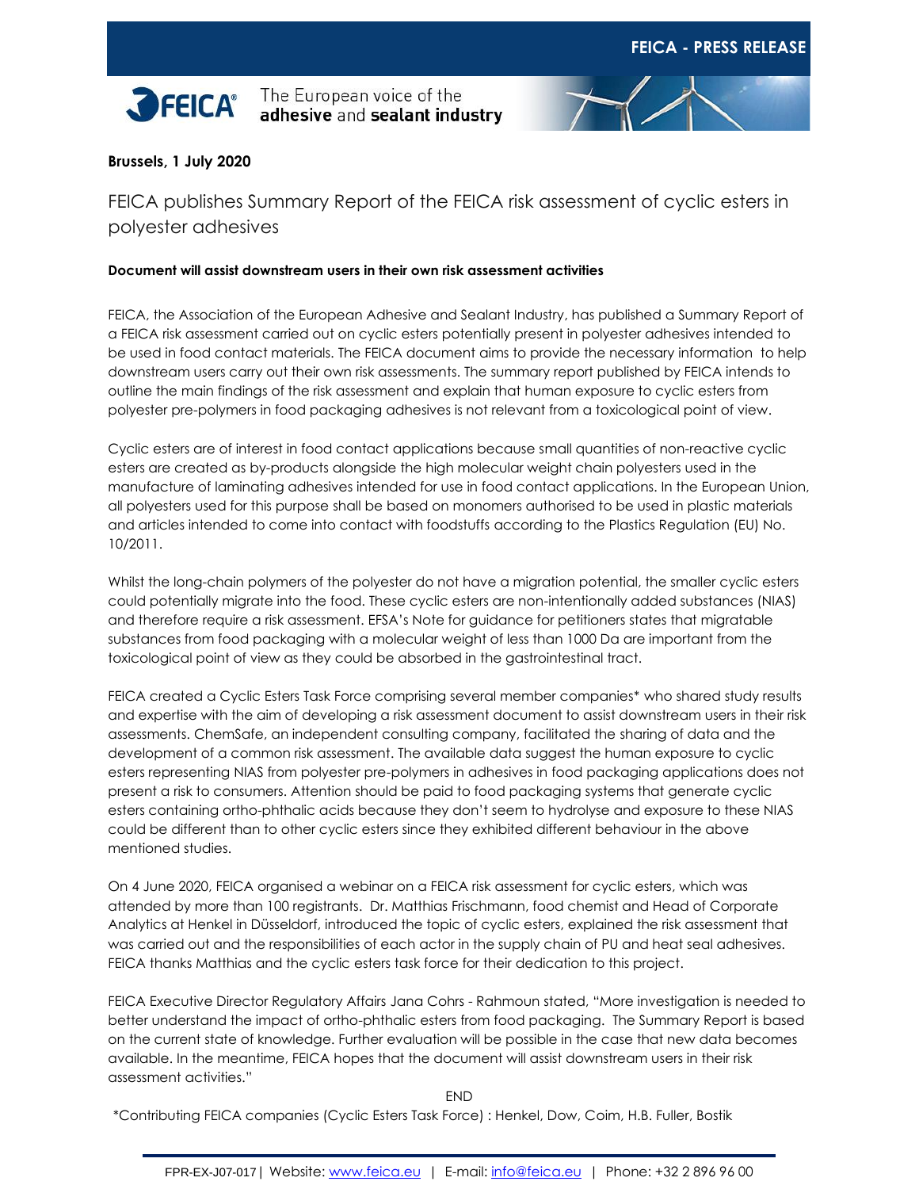

The European voice of the adhesive and sealant industry



## **Brussels, 1 July 2020**

FEICA publishes Summary Report of the FEICA risk assessment of cyclic esters in polyester adhesives

## **Document will assist downstream users in their own risk assessment activities**

FEICA, the Association of the European Adhesive and Sealant Industry, has published a Summary Report of a FEICA risk assessment carried out on cyclic esters potentially present in polyester adhesives intended to be used in food contact materials. The FEICA document aims to provide the necessary information to help downstream users carry out their own risk assessments. The summary report published by FEICA intends to outline the main findings of the risk assessment and explain that human exposure to cyclic esters from polyester pre-polymers in food packaging adhesives is not relevant from a toxicological point of view.

Cyclic esters are of interest in food contact applications because small quantities of non-reactive cyclic esters are created as by-products alongside the high molecular weight chain polyesters used in the manufacture of laminating adhesives intended for use in food contact applications. In the European Union, all polyesters used for this purpose shall be based on monomers authorised to be used in plastic materials and articles intended to come into contact with foodstuffs according to the Plastics Regulation (EU) No. 10/2011.

Whilst the long-chain polymers of the polyester do not have a migration potential, the smaller cyclic esters could potentially migrate into the food. These cyclic esters are non-intentionally added substances (NIAS) and therefore require a risk assessment. EFSA's Note for guidance for petitioners states that migratable substances from food packaging with a molecular weight of less than 1000 Da are important from the toxicological point of view as they could be absorbed in the gastrointestinal tract.

FEICA created a Cyclic Esters Task Force comprising several member companies\* who shared study results and expertise with the aim of developing a risk assessment document to assist downstream users in their risk assessments. ChemSafe, an independent consulting company, facilitated the sharing of data and the development of a common risk assessment. The available data suggest the human exposure to cyclic esters representing NIAS from polyester pre-polymers in adhesives in food packaging applications does not present a risk to consumers. Attention should be paid to food packaging systems that generate cyclic esters containing ortho-phthalic acids because they don't seem to hydrolyse and exposure to these NIAS could be different than to other cyclic esters since they exhibited different behaviour in the above mentioned studies.

On 4 June 2020, FEICA organised a webinar on a FEICA risk assessment for cyclic esters, which was attended by more than 100 registrants. Dr. Matthias Frischmann, food chemist and Head of Corporate Analytics at Henkel in Düsseldorf, introduced the topic of cyclic esters, explained the risk assessment that was carried out and the responsibilities of each actor in the supply chain of PU and heat seal adhesives. FEICA thanks Matthias and the cyclic esters task force for their dedication to this project.

FEICA Executive Director Regulatory Affairs Jana Cohrs - Rahmoun stated, "More investigation is needed to better understand the impact of ortho-phthalic esters from food packaging. The Summary Report is based on the current state of knowledge. Further evaluation will be possible in the case that new data becomes available. In the meantime, FEICA hopes that the document will assist downstream users in their risk assessment activities."

END

\*Contributing FEICA companies (Cyclic Esters Task Force) : Henkel, Dow, Coim, H.B. Fuller, Bostik